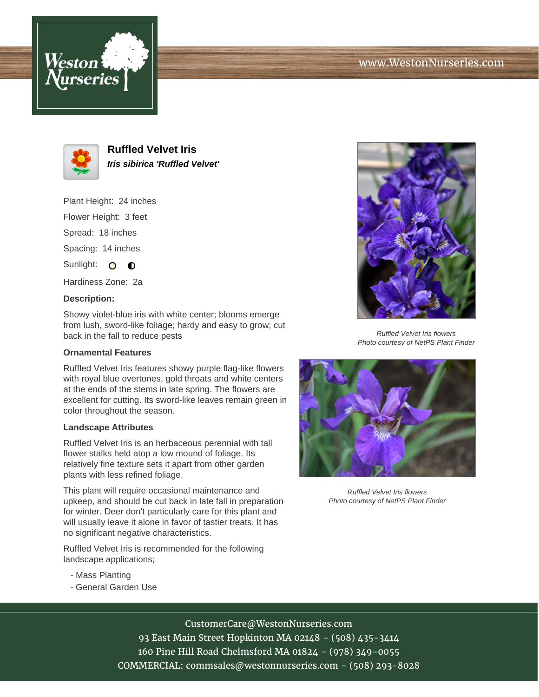# www.WestonNurseries.com





**Ruffled Velvet Iris Iris sibirica 'Ruffled Velvet'**

Plant Height: 24 inches

Flower Height: 3 feet

Spread: 18 inches

Spacing: 14 inches

Sunlight: O O

Hardiness Zone: 2a

#### **Description:**

Showy violet-blue iris with white center; blooms emerge from lush, sword-like foliage; hardy and easy to grow; cut back in the fall to reduce pests

## **Ornamental Features**

Ruffled Velvet Iris features showy purple flag-like flowers with royal blue overtones, gold throats and white centers at the ends of the stems in late spring. The flowers are excellent for cutting. Its sword-like leaves remain green in color throughout the season.

#### **Landscape Attributes**

Ruffled Velvet Iris is an herbaceous perennial with tall flower stalks held atop a low mound of foliage. Its relatively fine texture sets it apart from other garden plants with less refined foliage.

This plant will require occasional maintenance and upkeep, and should be cut back in late fall in preparation for winter. Deer don't particularly care for this plant and will usually leave it alone in favor of tastier treats. It has no significant negative characteristics.

Ruffled Velvet Iris is recommended for the following landscape applications;

- Mass Planting
- General Garden Use



Ruffled Velvet Iris flowers Photo courtesy of NetPS Plant Finder



Ruffled Velvet Iris flowers Photo courtesy of NetPS Plant Finder

# CustomerCare@WestonNurseries.com

93 East Main Street Hopkinton MA 02148 - (508) 435-3414 160 Pine Hill Road Chelmsford MA 01824 - (978) 349-0055 COMMERCIAL: commsales@westonnurseries.com - (508) 293-8028